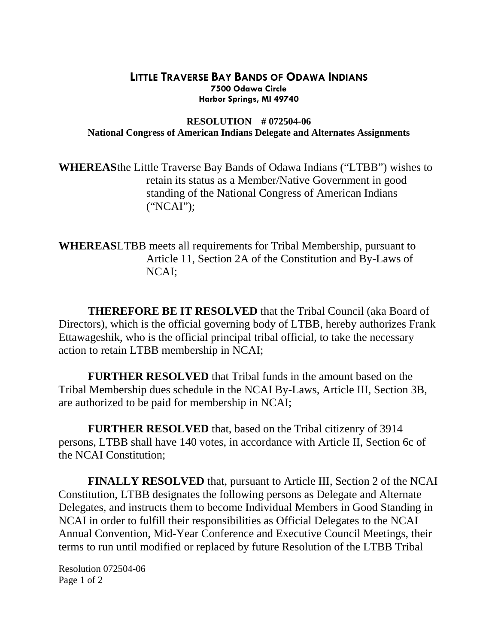## **LITTLE TRAVERSE BAY BANDS OF ODAWA INDIANS 7500 Odawa Circle Harbor Springs, MI 49740**

## **RESOLUTION # 072504-06 National Congress of American Indians Delegate and Alternates Assignments**

**WHEREAS** the Little Traverse Bay Bands of Odawa Indians ("LTBB") wishes to retain its status as a Member/Native Government in good standing of the National Congress of American Indians ("NCAI");

**WHEREASLTBB** meets all requirements for Tribal Membership, pursuant to Article 11, Section 2A of the Constitution and By-Laws of NCAI;

 **THEREFORE BE IT RESOLVED** that the Tribal Council (aka Board of Directors), which is the official governing body of LTBB, hereby authorizes Frank Ettawageshik, who is the official principal tribal official, to take the necessary action to retain LTBB membership in NCAI;

**FURTHER RESOLVED** that Tribal funds in the amount based on the Tribal Membership dues schedule in the NCAI By-Laws, Article III, Section 3B, are authorized to be paid for membership in NCAI;

**FURTHER RESOLVED** that, based on the Tribal citizenry of 3914 persons, LTBB shall have 140 votes, in accordance with Article II, Section 6c of the NCAI Constitution;

**FINALLY RESOLVED** that, pursuant to Article III, Section 2 of the NCAI Constitution, LTBB designates the following persons as Delegate and Alternate Delegates, and instructs them to become Individual Members in Good Standing in NCAI in order to fulfill their responsibilities as Official Delegates to the NCAI Annual Convention, Mid-Year Conference and Executive Council Meetings, their terms to run until modified or replaced by future Resolution of the LTBB Tribal

Resolution 072504-06 Page 1 of 2